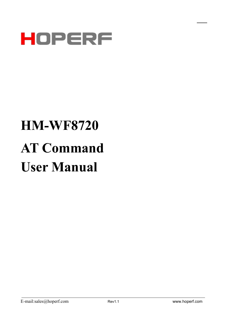

# **HM-WF8720 AT Command User Manual**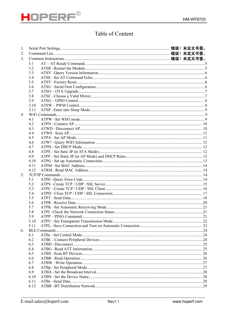

#### Table of Content

| 1. |      |                      |    |  |
|----|------|----------------------|----|--|
| 2. |      |                      |    |  |
| 3. |      |                      |    |  |
|    | 3.1  |                      |    |  |
|    | 3.2  |                      |    |  |
|    | 3.3  |                      |    |  |
|    | 3.4  |                      |    |  |
|    | 3.5  |                      |    |  |
|    | 3.6  |                      |    |  |
|    | 3.7  |                      |    |  |
|    | 3.8  |                      |    |  |
|    | 3.9  |                      |    |  |
|    | 3.10 |                      |    |  |
|    | 3.11 |                      |    |  |
| 4. |      |                      |    |  |
|    | 4.1  |                      |    |  |
|    | 4.2  |                      |    |  |
|    | 4.3  |                      |    |  |
|    | 4.4  |                      |    |  |
|    | 4.5  |                      |    |  |
|    | 4.6  |                      |    |  |
|    | 4.7  |                      |    |  |
|    | 4.8  |                      |    |  |
|    | 4.9  |                      |    |  |
|    | 4.10 |                      |    |  |
|    | 4.11 |                      |    |  |
|    | 4.12 |                      |    |  |
| 5. |      |                      |    |  |
|    | 5.1  |                      |    |  |
|    | 5.2  |                      |    |  |
|    | 5.3  |                      |    |  |
|    | 5.4  |                      |    |  |
|    | 5.5  |                      |    |  |
|    | 5.6  |                      |    |  |
|    | 5.7  |                      |    |  |
|    | 5.8  |                      |    |  |
|    | 5.9  | ATPP – PING Command. | 21 |  |
|    | 5.10 |                      |    |  |
|    | 5.11 |                      |    |  |
| 6. |      |                      |    |  |
|    | 6.1  |                      |    |  |
|    | 6.2  |                      |    |  |
|    | 6.3  |                      |    |  |
|    | 6.4  |                      |    |  |
|    | 6.5  |                      |    |  |
|    | 6.6  |                      |    |  |
|    | 6.7  |                      |    |  |
|    | 6.8  |                      |    |  |
|    | 6.9  |                      |    |  |
|    | 6.10 |                      |    |  |
|    | 6.11 |                      |    |  |
|    | 6.12 |                      |    |  |
|    |      |                      |    |  |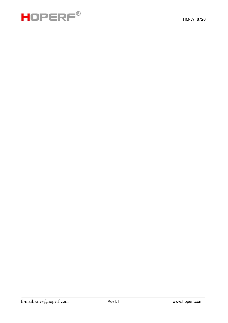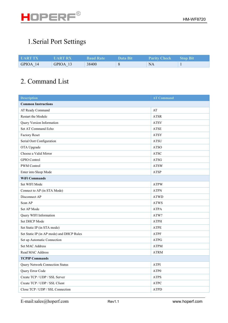#### 1.Serial Port Settings

| <b>IIART</b>                                   | -RX                                                 | <b>Baud Rate</b> | Data Bit | <b>Parity Check</b> | <b>Stop Bit</b> |
|------------------------------------------------|-----------------------------------------------------|------------------|----------|---------------------|-----------------|
| <b>GPIOA</b><br>14<br>$\overline{\phantom{0}}$ | GPIOA<br>$\overline{1}$<br>$\overline{\phantom{0}}$ | 38400            | $\circ$  | <b>NA</b>           |                 |

#### 2. Command List

| <b>Description</b>                        | <b>AT Command</b> |  |  |  |
|-------------------------------------------|-------------------|--|--|--|
| <b>Common Instructions</b>                |                   |  |  |  |
| AT Ready Command                          | AT                |  |  |  |
| Restart the Module                        | <b>ATSR</b>       |  |  |  |
| Query Version Information                 | <b>ATSV</b>       |  |  |  |
| Set AT Command Echo                       | <b>ATSE</b>       |  |  |  |
| <b>Factory Reset</b>                      | <b>ATSY</b>       |  |  |  |
| Serial Oort Configuration                 | <b>ATSU</b>       |  |  |  |
| OTA Upgrade                               | <b>ATSO</b>       |  |  |  |
| Choose a Valid Mirror                     | <b>ATSC</b>       |  |  |  |
| <b>GPIO</b> Control                       | <b>ATSG</b>       |  |  |  |
| <b>PWM Control</b>                        | <b>ATSW</b>       |  |  |  |
| Enter into Sleep Mode                     | <b>ATSP</b>       |  |  |  |
| <b>WiFi Commands</b>                      |                   |  |  |  |
| Set WIFI Mode                             | <b>ATPW</b>       |  |  |  |
| Connect to AP (in STA Mode)               | <b>ATPN</b>       |  |  |  |
| Disconnect AP                             | <b>ATWD</b>       |  |  |  |
| Scan AP                                   | <b>ATWS</b>       |  |  |  |
| Set AP Mode                               | <b>ATPA</b>       |  |  |  |
| Query WIFI Information                    | ATW?              |  |  |  |
| Set DHCP Mode                             | <b>ATPH</b>       |  |  |  |
| Set Static IP (in STA mode)               | <b>ATPE</b>       |  |  |  |
| Set Static IP (in AP mode) and DHCP Rules | <b>ATPF</b>       |  |  |  |
| Set up Automatic Connection               | <b>ATPG</b>       |  |  |  |
| <b>Set MAC Address</b>                    | <b>ATPM</b>       |  |  |  |
| Read MAC Address                          | <b>ATRM</b>       |  |  |  |
| <b>TCPIP Commands</b>                     |                   |  |  |  |
| Query Network Connection Status           | <b>ATPI</b>       |  |  |  |
| Query Error Code                          | ATP <sub>0</sub>  |  |  |  |
| Create TCP / UDP / SSL Server             | <b>ATPS</b>       |  |  |  |
| Create TCP / UDP / SSL Client             | <b>ATPC</b>       |  |  |  |
| Close TCP / UDP / SSL Connection          | <b>ATPD</b>       |  |  |  |
|                                           |                   |  |  |  |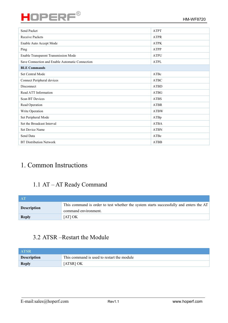## HOPERF®

| <b>Send Packet</b>                              | <b>ATPT</b> |
|-------------------------------------------------|-------------|
| Receive Packets                                 | <b>ATPR</b> |
| Enable Auto Accept Mode                         | <b>ATPK</b> |
| Ping                                            | <b>ATPP</b> |
| Enable Transparent Transmission Mode            | <b>ATPU</b> |
| Save Connection and Enable Automatic Connection | ATPL        |
| <b>BLE Commands</b>                             |             |
| Set Central Mode                                | ATBc        |
| Connect Peripheral devices                      | ATBC        |
| Disconnect                                      | ATBD        |
| Read ATT Information                            | ATBG        |
| Scan BT Devices                                 | <b>ATBS</b> |
| Read Operation                                  | ATBR        |
| Write Operation                                 | <b>ATBW</b> |
| Set Peripheral Mode                             | ATBp        |
| Set the Broadcast Interval                      | <b>ATBA</b> |
| Set Device Name                                 | <b>ATBN</b> |
| Send Data                                       | ATBe        |
| <b>BT Distribution Network</b>                  | <b>ATBB</b> |

#### 1. Common Instructions

#### <span id="page-4-0"></span>1.1 AT – AT Ready Command

| <b>Description</b> | This command is order to test whether the system starts successfully and enters the AT |
|--------------------|----------------------------------------------------------------------------------------|
|                    | command environment.                                                                   |
| <b>Reply</b>       | [AT] OK                                                                                |

#### <span id="page-4-1"></span>3.2 ATSR –Restart the Module

| <b>ATSR</b>        |                                            |
|--------------------|--------------------------------------------|
| <b>Description</b> | This command is used to restart the module |
| <b>Reply</b>       | [ATSR] OK                                  |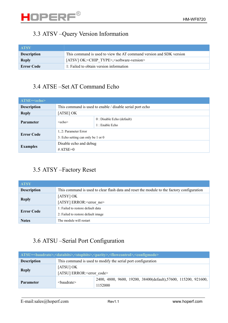

#### <span id="page-5-0"></span>3.3 ATSV –Query Version Information

| <b>ATSV</b>        |                                                                        |
|--------------------|------------------------------------------------------------------------|
| <b>Description</b> | This command is used to view the AT command version and SDK version    |
| <b>Reply</b>       | [ATSV] OK: <chip type="">,<software-version></software-version></chip> |
| <b>Error Code</b>  | 1: Failed to obtain version information                                |

#### <span id="page-5-1"></span>3.4 ATSE –Set AT Command Echo

| $ATSE = $                                               |                                                           |                             |  |  |
|---------------------------------------------------------|-----------------------------------------------------------|-----------------------------|--|--|
| <b>Description</b>                                      | This command is used to enable / disable serial port echo |                             |  |  |
| <b>Reply</b>                                            | [ATSE] OK                                                 |                             |  |  |
| Parameter                                               | $<$ echo $>$                                              | $0:$ Disable Echo (default) |  |  |
|                                                         |                                                           | $1:$ Enable Echo            |  |  |
|                                                         | 1, 2: Parameter Error                                     |                             |  |  |
| <b>Error Code</b><br>3: Echo setting can only be 1 or 0 |                                                           |                             |  |  |
| Disable echo and debug                                  |                                                           |                             |  |  |
| <b>Examples</b>                                         | # $ATSE=0$                                                |                             |  |  |

#### <span id="page-5-2"></span>3.5 ATSY –Factory Reset

| <b>ATSY</b>        |                                                                                            |
|--------------------|--------------------------------------------------------------------------------------------|
| <b>Description</b> | This command is used to clear flash data and reset the module to the factory configuration |
| <b>Reply</b>       | [ATSY] OK<br>[ATSY] ERROR: < error no>                                                     |
| <b>Error Code</b>  | 1: Failed to restore default data<br>2: Failed to restore default image                    |
| <b>Notes</b>       | The module will restart                                                                    |

#### <span id="page-5-3"></span>3.6 ATSU –Serial Port Configuration

| ATSU=<br>baudrate>, <databits>,<stopbits>,<parity>,<flowcontrol>,<configmode></configmode></flowcontrol></parity></stopbits></databits> |                                                              |                                                                            |  |  |
|-----------------------------------------------------------------------------------------------------------------------------------------|--------------------------------------------------------------|----------------------------------------------------------------------------|--|--|
| <b>Description</b>                                                                                                                      | This command is used to modify the serial port configuration |                                                                            |  |  |
| <b>Reply</b>                                                                                                                            | [ATSU] OK<br>[ATSU] ERROR: < error code>                     |                                                                            |  |  |
| <b>Parameter</b>                                                                                                                        | $\alpha$ -chaudrate                                          | 2400, 4800, 9600, 19200, 38400(default), 57600, 115200, 921600,<br>1152000 |  |  |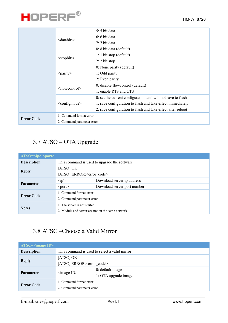

|                   | $\le$ databits $>$         | $5:5$ bit data                                              |
|-------------------|----------------------------|-------------------------------------------------------------|
|                   |                            | $6:6$ bit data                                              |
|                   |                            | $7:7$ bit data                                              |
|                   |                            | 8: 8 bit data (default)                                     |
|                   | $<$ stopbits $>$           | $1:1$ bit stop (default)                                    |
|                   |                            | $2:2$ bit stop                                              |
|                   | $<$ parity>                | 0: None parity (default)                                    |
|                   |                            | 1: Odd parity                                               |
|                   |                            | 2: Even parity                                              |
|                   | $\le$ flowcontrol $>$      | 0: disable flowcontrol (default)                            |
|                   |                            | 1: enable RTS and CTS                                       |
|                   | <configmode></configmode>  | 0: set the current configuration and will not save to flash |
|                   |                            | 1: save configuration to flash and take effect immediately  |
|                   |                            | 2: save configuration to flash and take effect after reboot |
| <b>Error Code</b> | 1: Command format error    |                                                             |
|                   | 2: Command parameter error |                                                             |

#### <span id="page-6-0"></span>3.7 ATSO – OTA Upgrade

| $ATSO = sport$                                                             |                                                  |                                              |  |  |
|----------------------------------------------------------------------------|--------------------------------------------------|----------------------------------------------|--|--|
| <b>Description</b>                                                         |                                                  | This command is used to upgrade the software |  |  |
|                                                                            | [ATSO] OK                                        |                                              |  |  |
| <b>Reply</b>                                                               | [ATSO] ERROR: <error code=""></error>            |                                              |  |  |
| <b>Parameter</b>                                                           | <ip></ip>                                        | Download server ip address                   |  |  |
|                                                                            | $\leq$ port $\geq$                               | Download server port number                  |  |  |
| 1: Command format error<br><b>Error Code</b><br>2: Command parameter error |                                                  |                                              |  |  |
|                                                                            |                                                  |                                              |  |  |
| <b>Notes</b>                                                               | 1: The server is not started                     |                                              |  |  |
|                                                                            | 2: Module and server are not on the same network |                                              |  |  |

#### <span id="page-6-1"></span>3.8 ATSC –Choose a Valid Mirror

| $ATSC = \frac{\text{image ID}}{1}$ |                                               |                      |
|------------------------------------|-----------------------------------------------|----------------------|
| <b>Description</b>                 | This command is used to select a valid mirror |                      |
| <b>Reply</b>                       | [ATSC] OK                                     |                      |
|                                    | [ATSC] ERROR: < error code>                   |                      |
|                                    | $\langle$ image ID $\rangle$                  | 0: default image     |
| <b>Parameter</b>                   |                                               | 1: OTA upgrade image |
| <b>Error Code</b>                  | 1: Command format error                       |                      |
|                                    | 2: Command parameter error                    |                      |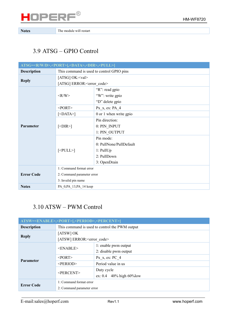

**Notes** The module will restart

#### <span id="page-7-0"></span>3.9 ATSG – GPIO Control

| ATSG= <r d="" w="">,<port>[,<data>,<dir>,<pull>]</pull></dir></data></port></r> |                                           |                         |
|---------------------------------------------------------------------------------|-------------------------------------------|-------------------------|
| <b>Description</b>                                                              | This command is used to control GPIO pins |                         |
|                                                                                 | [ATSG] $OK: <$ val>                       |                         |
| <b>Reply</b>                                                                    | [ATSG] ERROR: <error_code></error_code>   |                         |
|                                                                                 |                                           | "R": read gpio          |
|                                                                                 | $\langle R/W \rangle$                     | "W": write gpio         |
|                                                                                 |                                           | "D" delete gpio         |
|                                                                                 | $<$ PORT>                                 | $Px_x$ , ex: $PA_4$     |
|                                                                                 | $[<$ DATA>]                               | 0 or 1 when write gpio  |
|                                                                                 |                                           | Pin direction:          |
| <b>Parameter</b>                                                                | $[\triangle DIR>\]$                       | 0: PIN_INPUT            |
|                                                                                 |                                           | 1: PIN OUTPUT           |
|                                                                                 |                                           | Pin mode:               |
|                                                                                 |                                           | 0: PullNone/PullDefault |
|                                                                                 | $[<$ PULL $>$ ]                           | $1:$ PullUp             |
|                                                                                 |                                           | 2: PullDown             |
|                                                                                 |                                           | 3: OpenDrain            |
|                                                                                 | 1: Command format error                   |                         |
| <b>Error Code</b>                                                               | 2: Command parameter error                |                         |
|                                                                                 | 3: Invalid pin name                       |                         |
| <b>Notes</b>                                                                    | PA_0,PA_13,PA_14 keep                     |                         |

#### <span id="page-7-1"></span>3.10 ATSW – PWM Control

| ATSW= <enable>,<port>[,<period>,<percent>]</percent></period></port></enable> |                                                |                                               |
|-------------------------------------------------------------------------------|------------------------------------------------|-----------------------------------------------|
| <b>Description</b>                                                            | This command is used to control the PWM output |                                               |
| <b>Reply</b>                                                                  | [ATSW] OK<br>[ATSW] ERROR: < error code>       |                                               |
|                                                                               | $<$ ENABLE>                                    | 1: enable pwm output<br>2: disable pwm output |
| <b>Parameter</b>                                                              | $<$ PORT $>$                                   | $Px$ x, ex: PC 4                              |
|                                                                               | <period></period>                              | Period value in us.                           |
|                                                                               | <percent></percent>                            | Duty cycle<br>ex: 0.4 40% high 60% low        |
| <b>Error Code</b>                                                             | 1: Command format error                        |                                               |
|                                                                               | 2: Command parameter error                     |                                               |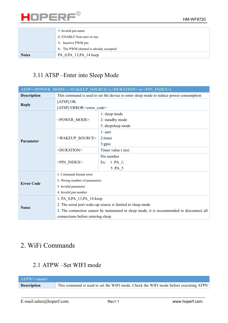

| 3: Invalid pin name       |                                        |  |
|---------------------------|----------------------------------------|--|
| 4: ENABLE Non-zero or one |                                        |  |
| 5: Inactive PWM pin       |                                        |  |
|                           | 6: The PWM channel is already occupied |  |
| <b>Notes</b>              | PA_0, PA_13, PA_14 keep                |  |

#### <span id="page-8-0"></span>3.11 ATSP –Enter into Sleep Mode

| ATSP= <power_mode>,<wakeup_source>[,<duration> or <pin_index>]</pin_index></duration></wakeup_source></power_mode> |                                                                                        |                                                                                           |
|--------------------------------------------------------------------------------------------------------------------|----------------------------------------------------------------------------------------|-------------------------------------------------------------------------------------------|
| <b>Description</b>                                                                                                 | This command is used to set the device to enter sleep mode to reduce power consumption |                                                                                           |
|                                                                                                                    | [ATSP] OK                                                                              |                                                                                           |
| <b>Reply</b>                                                                                                       | [ATSP] ERROR: <error_code></error_code>                                                |                                                                                           |
|                                                                                                                    |                                                                                        | 1: sleep mode                                                                             |
|                                                                                                                    | <power mode=""></power>                                                                | 2: standby mode                                                                           |
|                                                                                                                    |                                                                                        | 3: deepsleep mode                                                                         |
|                                                                                                                    |                                                                                        | $1:$ uart                                                                                 |
| Parameter                                                                                                          | <wakeup_source></wakeup_source>                                                        | 2:timer                                                                                   |
|                                                                                                                    |                                                                                        | 3:gpio                                                                                    |
|                                                                                                                    | <duration></duration>                                                                  | Timer value (ms)                                                                          |
|                                                                                                                    | <pin_index></pin_index>                                                                | Pin number                                                                                |
|                                                                                                                    |                                                                                        | Ex: $1 : PA_1;$                                                                           |
|                                                                                                                    |                                                                                        | 5 :PA 5                                                                                   |
|                                                                                                                    | 1: Command format error                                                                |                                                                                           |
| <b>Error Code</b>                                                                                                  | 2: Wrong number of parameters                                                          |                                                                                           |
|                                                                                                                    | 3: Invalid parameter                                                                   |                                                                                           |
|                                                                                                                    | 4: Invalid pin number                                                                  |                                                                                           |
|                                                                                                                    | 1, PA_0, PA_13, PA_14 keep                                                             |                                                                                           |
|                                                                                                                    | 2. The serial port wake-up source is limited to sleep mode                             |                                                                                           |
| <b>Notes</b>                                                                                                       |                                                                                        | 3. The connection cannot be maintained in sleep mode, it is recommended to disconnect all |
|                                                                                                                    | connections before entering sleep                                                      |                                                                                           |

#### <span id="page-8-1"></span>2. WiFi Commands

#### <span id="page-8-2"></span>2.1 ATPW –Set WIFI mode

| $ATPW=<$ mode>     |                                                                                      |
|--------------------|--------------------------------------------------------------------------------------|
| <b>Description</b> | This command is used to set the WIFI mode. Check the WIFI mode before executing ATPN |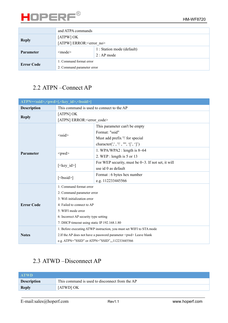

|                   | and ATPA commands          |                            |
|-------------------|----------------------------|----------------------------|
| <b>Reply</b>      | [ATPW] OK                  |                            |
|                   | [ATPW] ERROR: < error no>  |                            |
| <b>Parameter</b>  | $<$ mode $>$               | 1 : Station mode (default) |
|                   |                            | $2:AP$ mode                |
| <b>Error Code</b> | 1: Command format error    |                            |
|                   | 2: Command parameter error |                            |

#### <span id="page-9-0"></span>2.2 ATPN –Connect AP

| ATPN= <ssid>,<pwd>[,<key_id>,<br/>&gt;bssid&gt;]</key_id></pwd></ssid> |                                                                        |                                                            |
|------------------------------------------------------------------------|------------------------------------------------------------------------|------------------------------------------------------------|
| <b>Description</b>                                                     | This command is used to connect to the AP                              |                                                            |
|                                                                        | [ATPN] OK                                                              |                                                            |
| <b>Reply</b>                                                           | [ATPN] ERROR: <error code=""></error>                                  |                                                            |
|                                                                        |                                                                        | This parameter can't be empty                              |
|                                                                        |                                                                        | Format: "ssid"                                             |
|                                                                        | $<$ ssid $>$                                                           | Must add prefix '\' for special                            |
|                                                                        |                                                                        | character(',', '\', ''", '[', ']')                         |
|                                                                        |                                                                        | 1. WPA/WPA2 : length is $8 \sim 64$                        |
| Parameter                                                              | $<$ pwd $>$                                                            | 2. WEP : length is $5$ or $13$                             |
|                                                                        |                                                                        | For WEP security, must be $0 \sim 3$ . If not set, it will |
|                                                                        | $[\leq\text{key}_id>\right]$                                           | use id 0 as default                                        |
|                                                                        |                                                                        | Format: 6 bytes hex number                                 |
|                                                                        | $[\leq\text{bssid}\geq]$                                               | e.g. 112233445566                                          |
|                                                                        | 1: Command format error                                                |                                                            |
|                                                                        | 2: Command parameter error                                             |                                                            |
|                                                                        | 3: Wifi initialization error                                           |                                                            |
| <b>Error Code</b>                                                      | 4: Failed to connect to AP                                             |                                                            |
|                                                                        | 5: WIFI mode error                                                     |                                                            |
|                                                                        | 6: Incorrect AP security type setting                                  |                                                            |
|                                                                        | 7: DHCP timeout using static IP 192.168.1.80                           |                                                            |
|                                                                        | 1. Before executing ATWP instruction, you must set WIFI to STA mode    |                                                            |
| <b>Notes</b>                                                           | 2.If the AP does not have a password parameter <pwd> Leave blank</pwd> |                                                            |
|                                                                        | e.g. ATPN="SSID" or ATPN="SSID",,,112233445566                         |                                                            |

#### <span id="page-9-1"></span>2.3 ATWD –Disconnect AP

| <b>ATWD</b>        |                                                |
|--------------------|------------------------------------------------|
| <b>Description</b> | This command is used to disconnect from the AP |
| <b>Reply</b>       | [ATWD] OK                                      |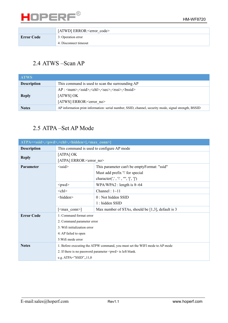

|                   | [ATWD] ERROR: < error code> |  |
|-------------------|-----------------------------|--|
| <b>Error Code</b> | 3: Operation error          |  |
|                   | 4: Disconnect timeout       |  |

#### <span id="page-10-0"></span>2.4 ATWS –Scan AP

| <b>ATWS</b>        |                                                                                                                              |
|--------------------|------------------------------------------------------------------------------------------------------------------------------|
| <b>Description</b> | This command is used to scan the surrounding AP                                                                              |
|                    | $AP : \langle num \rangle, \langle s \rangle, \langle ch \rangle, \langle sec \rangle, \langle r \rangle, \langle b \rangle$ |
| <b>Reply</b>       | [ATWS] OK                                                                                                                    |
|                    | [ATWS] ERROR: <error no=""></error>                                                                                          |
| <b>Notes</b>       | AP information print information: serial number, SSID, channel, security mode, signal strength, BSSID                        |

#### <span id="page-10-1"></span>2.5 ATPA –Set AP Mode

| ATPA= <ssid>,<pwd>,<chl>,<hidden>[,<max conn="">]</max></hidden></chl></pwd></ssid> |                                                  |                                                                             |
|-------------------------------------------------------------------------------------|--------------------------------------------------|-----------------------------------------------------------------------------|
| <b>Description</b>                                                                  | This command is used to configure AP mode        |                                                                             |
|                                                                                     | [ATPA] OK                                        |                                                                             |
| <b>Reply</b>                                                                        | [ATPA] ERROR: < error no>                        |                                                                             |
| <b>Parameter</b>                                                                    | $<$ ssid $>$                                     | This parameter can't be emptyFormat: "ssid"                                 |
|                                                                                     |                                                  | Must add prefix '\' for special                                             |
|                                                                                     |                                                  | character(',', '\', ''", '[', ']')                                          |
|                                                                                     | $<$ pwd $>$                                      | WPA/WPA2 : length is $8 - 64$                                               |
|                                                                                     | $<$ chl $>$                                      | Channel: $1 \sim 11$                                                        |
|                                                                                     | <hidden></hidden>                                | 0 : Not hidden SSID                                                         |
|                                                                                     |                                                  | 1: hidden SSID                                                              |
|                                                                                     | $\left[$ <max conn=""><math>\right]</math></max> | Max number of STAs, should be $[1,3]$ , default is 3                        |
| <b>Error Code</b>                                                                   | 1: Command format error                          |                                                                             |
|                                                                                     | 2: Command parameter error                       |                                                                             |
|                                                                                     | 3: Wifi initialization error                     |                                                                             |
|                                                                                     | 4: AP failed to open                             |                                                                             |
|                                                                                     | 5: Wifi mode error                               |                                                                             |
| <b>Notes</b>                                                                        |                                                  | 1. Before executing the ATPW command, you must set the WIFI mode to AP mode |
|                                                                                     |                                                  | 2. If there is no password parameter <pwd> is left blank.</pwd>             |
|                                                                                     | e.g. $ATPA='SSID", 11,0$                         |                                                                             |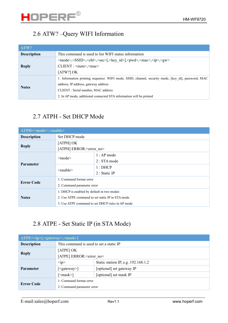#### <span id="page-11-0"></span>2.6 ATW? –Query WIFI Information

| ATW?               |                                                                                                                     |  |  |
|--------------------|---------------------------------------------------------------------------------------------------------------------|--|--|
| <b>Description</b> | This command is used to list WIFI status information                                                                |  |  |
|                    | <mode>,<ssid>,<chl>,<sec>[,<key id="">],<pwd>,<mac>,<ip>,<gw></gw></ip></mac></pwd></key></sec></chl></ssid></mode> |  |  |
| <b>Reply</b>       | CLIENT : <num> <max< td=""></max<></num>                                                                            |  |  |
|                    | [ATW?] OK                                                                                                           |  |  |
| <b>Notes</b>       | 1. Information printing sequence: WIFI mode, SSID, channel, security mode, [key id], password, MAC                  |  |  |
|                    | address, IP address, gateway address                                                                                |  |  |
|                    | CLIENT: Serial number, MAC address                                                                                  |  |  |
|                    | 2. In AP mode, additional connected STA information will be printed                                                 |  |  |

#### <span id="page-11-1"></span>2.7 ATPH - Set DHCP Mode

| ATPH= <mode>,<enable></enable></mode> |                                                  |               |  |
|---------------------------------------|--------------------------------------------------|---------------|--|
| <b>Description</b>                    | Set DHCP mode                                    |               |  |
|                                       | [ATPH] OK                                        |               |  |
| <b>Reply</b>                          | [ATPH] ERROR: < error no>                        |               |  |
|                                       | $<$ mode $>$                                     | $1:AP$ mode   |  |
| <b>Parameter</b>                      |                                                  | $2:STA$ mode  |  |
|                                       | $\leq$ enable $\geq$                             | 1:DHCP        |  |
|                                       |                                                  | 2 : Static IP |  |
| <b>Error Code</b>                     | 1: Command format error                          |               |  |
|                                       | 2: Command parameter error                       |               |  |
|                                       | 1. DHCP is enabled by default in two modes       |               |  |
| <b>Notes</b>                          | 2. Use ATPE command to set static IP in STA mode |               |  |
|                                       | 3. Use ATPF command to set DHCP rules in AP mode |               |  |

#### <span id="page-11-2"></span>2.8 ATPE - Set Static IP (in STA Mode)

| $ATPE=\text{ip}>\left[\frac{1}{2}$ = $\frac{1}{2}$ = $\frac{1}{2}$ = $\frac{1}{2}$ = $\frac{1}{2}$ = $\frac{1}{2}$ = $\frac{1}{2}$ = $\frac{1}{2}$ = $\frac{1}{2}$ = $\frac{1}{2}$ = $\frac{1}{2}$ = $\frac{1}{2}$ = $\frac{1}{2}$ = $\frac{1}{2}$ = $\frac{1}{2}$ = $\frac{1}{2}$ = $\frac{1}{2}$ = $\frac{1}{2}$ |                                         |                                     |  |
|--------------------------------------------------------------------------------------------------------------------------------------------------------------------------------------------------------------------------------------------------------------------------------------------------------------------|-----------------------------------------|-------------------------------------|--|
| <b>Description</b>                                                                                                                                                                                                                                                                                                 | This command is used to set a static IP |                                     |  |
|                                                                                                                                                                                                                                                                                                                    | [ATPE] OK                               |                                     |  |
| <b>Reply</b>                                                                                                                                                                                                                                                                                                       | [ATPE] ERROR: < error no>               |                                     |  |
| Parameter                                                                                                                                                                                                                                                                                                          | $\langle$ <ip></ip>                     | Static station IP, e.g. 192.168.1.2 |  |
|                                                                                                                                                                                                                                                                                                                    | [ <gateway>]</gateway>                  | [optional] set gateway IP           |  |
|                                                                                                                                                                                                                                                                                                                    | [ <mask>]</mask>                        | [optional] set mask IP              |  |
|                                                                                                                                                                                                                                                                                                                    | 1: Command format error                 |                                     |  |
| <b>Error Code</b>                                                                                                                                                                                                                                                                                                  | 2: Command parameter error              |                                     |  |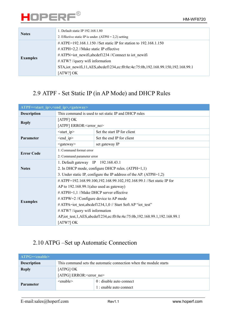

| <b>Notes</b>    | 1. Default static IP 192.168.1.80                                              |  |
|-----------------|--------------------------------------------------------------------------------|--|
|                 | 2. Effective static IP is under. $(ATPH = 2,2)$ setting                        |  |
| <b>Examples</b> | $\#$ ATPE=192.168.1.150 //Set static IP for station to 192.168.1.150           |  |
|                 | $\#$ ATPH=2,2 //Make static IP effective                                       |  |
|                 | #ATPN=iot newifi,abcdef1234 //Connect to iot newifi                            |  |
|                 | $#ATW$ ? //query wifi information                                              |  |
|                 | STA,iot newifi,11,AES,abcdef1234,ec:f0:0e:4e:75:0b,192.168.99.150,192.168.99.1 |  |
|                 | [ATW?] OK                                                                      |  |

#### <span id="page-12-0"></span>2.9 ATPF - Set Static IP (in AP Mode) and DHCP Rules

| ATPF= <start ip="">,<end ip="">,<gateway></gateway></end></start> |                                                                                    |                                                              |  |
|-------------------------------------------------------------------|------------------------------------------------------------------------------------|--------------------------------------------------------------|--|
| <b>Description</b>                                                | This command is used to set static IP and DHCP rules                               |                                                              |  |
|                                                                   | [ATPF] OK                                                                          |                                                              |  |
| <b>Reply</b>                                                      | [ATPF] ERROR: < error no>                                                          |                                                              |  |
|                                                                   | $<$ start_ip $>$                                                                   | Set the start IP for client                                  |  |
| <b>Parameter</b>                                                  | $\leq$ end_ip $>$                                                                  | Set the end IP for client                                    |  |
|                                                                   | <gateway></gateway>                                                                | set gateway IP                                               |  |
| <b>Error Code</b>                                                 | 1: Command format error<br>2: Command parameter error                              |                                                              |  |
|                                                                   |                                                                                    |                                                              |  |
|                                                                   | 1. Default gateway IP 192.168.43.1                                                 |                                                              |  |
| <b>Notes</b>                                                      | 2. In DHCP mode, configure DHCP rules. (ATPH=1,1)                                  |                                                              |  |
|                                                                   | 3. Under static IP, configure the IP address of the AP. (ATPH=1,2)                 |                                                              |  |
|                                                                   | # ATPF=192.168.99.100,192.168.99.102,192.168.99.1 //Set static IP for              |                                                              |  |
|                                                                   | AP to $192.168.99.1$ (also used as gateway)                                        |                                                              |  |
|                                                                   | # ATPH=1,1 //Make DHCP server effective                                            |                                                              |  |
| <b>Examples</b>                                                   | # ATPW=2 //Configure device to AP mode                                             |                                                              |  |
|                                                                   |                                                                                    | # ATPA=iot test, abcdef1234, 1,0 // Start Soft AP "iot test" |  |
|                                                                   | $#ATW$ ? //query wifi information                                                  |                                                              |  |
|                                                                   | AP, iot test, 1, AES, abcdef1234, ec: f0:0e: 4e: 75:0b, 192.168.99.1, 192.168.99.1 |                                                              |  |
|                                                                   | [ATW?] OK                                                                          |                                                              |  |

#### <span id="page-12-1"></span>2.10 ATPG –Set up Automatic Connection

| $ATPG=enable>$     |                                                                   |                           |  |
|--------------------|-------------------------------------------------------------------|---------------------------|--|
| <b>Description</b> | This command sets the automatic connection when the module starts |                           |  |
| <b>Reply</b>       | [ATPG] OK                                                         |                           |  |
|                    | [ATPG] ERROR: < error no>                                         |                           |  |
| Parameter          | $\leq$ enable $\geq$                                              | $0:$ disable auto connect |  |
|                    |                                                                   | 1 : enable auto connect   |  |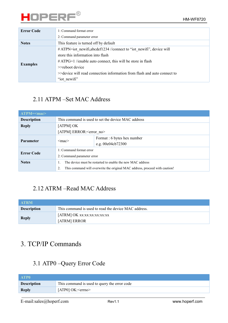



| <b>Error Code</b> | 1: Command format error                                                  |  |  |
|-------------------|--------------------------------------------------------------------------|--|--|
|                   | 2: Command parameter error                                               |  |  |
| <b>Notes</b>      | This feature is turned off by default                                    |  |  |
| <b>Examples</b>   | # ATPN=iot newifi, abcdef1234 //connect to "iot newifi", device will     |  |  |
|                   | store this information into flash                                        |  |  |
|                   | $\#ATPG=1$ //enable auto connect, this will be store in flash            |  |  |
|                   | $\ge$ reboot device                                                      |  |  |
|                   | >>device will read connection information from flash and auto connect to |  |  |
|                   | "iot newifi"                                                             |  |  |

#### <span id="page-13-0"></span>2.11 ATPM –Set MAC Address

| $ATPM=\text{mac}$                            |                                                                                   |                            |
|----------------------------------------------|-----------------------------------------------------------------------------------|----------------------------|
| <b>Description</b>                           | This command is used to set the device MAC address                                |                            |
| <b>Reply</b>                                 | [ATPM] OK                                                                         |                            |
|                                              | [ATPM] ERROR: < error no>                                                         |                            |
| Parameter                                    | $<$ mac $>$                                                                       | Format: 6 bytes hex number |
|                                              |                                                                                   | e.g. 00e04cb72300          |
| 1: Command format error<br><b>Error Code</b> |                                                                                   |                            |
|                                              | 2: Command parameter error                                                        |                            |
| <b>Notes</b>                                 | The device must be restarted to enable the new MAC address                        |                            |
|                                              | This command will overwrite the original MAC address, proceed with caution!<br>2. |                            |

#### <span id="page-13-1"></span>2.12 ATRM –Read MAC Address

| <b>ATRM</b>        |                                                      |
|--------------------|------------------------------------------------------|
| <b>Description</b> | This command is used to read the device MAC address. |
| <b>Reply</b>       | [ATRM] OK xx:xx:xx:xx:xx:xx<br>[ATRM] ERROR          |

#### <span id="page-13-2"></span>3. TCP/IP Commands

#### <span id="page-13-3"></span>3.1 ATP0 –Query Error Code

| <b>ATPO</b>        |                                              |
|--------------------|----------------------------------------------|
| <b>Description</b> | This command is used to query the error code |
| <b>Reply</b>       | [ATP0] OK: $\leq$ errno $>$                  |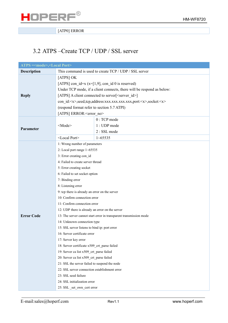

[ATP0] ERROR

#### <span id="page-14-0"></span>3.2 ATPS –Create TCP / UDP / SSL server

| ATPS = <mode>,<local port=""></local></mode> |                                                                              |                                                               |  |
|----------------------------------------------|------------------------------------------------------------------------------|---------------------------------------------------------------|--|
| <b>Description</b>                           | This command is used to create TCP / UDP / SSL server                        |                                                               |  |
|                                              | [ATPS] OK                                                                    |                                                               |  |
|                                              | [ATPS] con_id= $x$ ( $x=[1,9]$ , con_id 0 is reserved)                       |                                                               |  |
|                                              | Under TCP mode, if a client connects, there will be respond as below:        |                                                               |  |
| <b>Reply</b>                                 |                                                                              | [ATPS] A client connected to server[ <server_id>]</server_id> |  |
|                                              | con_id: <x>,seed,tcp,address:xxx.xxx.xxx.xxx,port:<x>,socket:<x></x></x></x> |                                                               |  |
|                                              | (respond format refer to section 5.7 ATPI)                                   |                                                               |  |
|                                              | [ATPS] ERROR: <error no=""></error>                                          |                                                               |  |
|                                              |                                                                              | 0: TCP mode                                                   |  |
|                                              | <mode></mode>                                                                | 1: UDP mode                                                   |  |
| Parameter                                    |                                                                              | 2: SSL mode                                                   |  |
|                                              | <local port=""></local>                                                      | $1 - 65535$                                                   |  |
|                                              | 1: Wrong number of parameters                                                |                                                               |  |
|                                              | 2: Local port range $1 \sim 65535$                                           |                                                               |  |
|                                              | 3: Error creating con_id                                                     |                                                               |  |
|                                              | 4: Failed to create server thread                                            |                                                               |  |
|                                              | 5: Error creating socket                                                     |                                                               |  |
|                                              | 6: Failed to set socket option                                               |                                                               |  |
|                                              | 7: Binding error                                                             |                                                               |  |
|                                              | 8: Listening error                                                           |                                                               |  |
|                                              | 9: tcp there is already an error on the server                               |                                                               |  |
|                                              | 10: Confirm connection error                                                 |                                                               |  |
|                                              | 11: Confirm connection error                                                 |                                                               |  |
|                                              | 12: UDP there is already an error on the server                              |                                                               |  |
| <b>Error Code</b>                            | 13: The server cannot start error in transparent transmission mode           |                                                               |  |
|                                              | 14: Unknown connection type                                                  |                                                               |  |
|                                              | 15: SSL server listens to bind ip: port error                                |                                                               |  |
|                                              | 16: Server certificate error                                                 |                                                               |  |
|                                              | 17: Server key error                                                         |                                                               |  |
|                                              | 18: Server certificate x509_crt_parse failed                                 |                                                               |  |
|                                              | 19: Server ca list x509 crt parse failed                                     |                                                               |  |
|                                              | 20: Server ca list x509 crt parse failed                                     |                                                               |  |
|                                              | 21: SSL the server failed to suspend the node                                |                                                               |  |
|                                              | 22: SSL server connection establishment error                                |                                                               |  |
|                                              | 23: SSL seed failure                                                         |                                                               |  |
|                                              | 24: SSL initialization error                                                 |                                                               |  |
|                                              | 25: SSL_set_own_cert error                                                   |                                                               |  |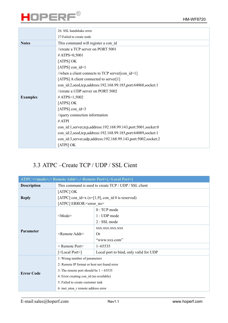

|                                                               | 26: SSL handshake error                                       |  |  |
|---------------------------------------------------------------|---------------------------------------------------------------|--|--|
|                                                               | 27: Failed to create node                                     |  |  |
| <b>Notes</b>                                                  | This command will register a con_id                           |  |  |
|                                                               | //create a TCP server on PORT 5001                            |  |  |
|                                                               | #ATPS= $0,5001$                                               |  |  |
|                                                               | [ATPS] OK                                                     |  |  |
|                                                               | [ATPS] con_ $id=1$                                            |  |  |
|                                                               | //when a client connects to TCP server[con_id=1]              |  |  |
|                                                               | [ATPS] A client connected to server[1]                        |  |  |
|                                                               | con id:2,seed,tcp,address:192.168.99.185,port:64068,socket:1  |  |  |
|                                                               | //create a UDP server on PORT 5002                            |  |  |
| <b>Examples</b>                                               | #ATPS=1,5002                                                  |  |  |
|                                                               | [ATPS] OK                                                     |  |  |
|                                                               | [ATPS] con $id=3$                                             |  |  |
|                                                               | //query connection information                                |  |  |
|                                                               | #ATPI                                                         |  |  |
| con id:1,server,tcp,address:192.168.99.143,port:5001,socket:0 |                                                               |  |  |
|                                                               | con id:2,seed,tcp,address:192.168.99.185,port:64089,socket:1  |  |  |
|                                                               | con id:3,server,udp,address:192.168.99.143,port:5002,socket:2 |  |  |
|                                                               | [ATPI] OK                                                     |  |  |

#### <span id="page-15-0"></span>3.3 ATPC –Create TCP / UDP / SSL Cient

| ATPC= <mode>,&lt; Remote Addr&gt;,&lt; Remote Port&gt;[,<local port="">]</local></mode> |                                                        |                                        |  |
|-----------------------------------------------------------------------------------------|--------------------------------------------------------|----------------------------------------|--|
| <b>Description</b>                                                                      | This command is used to create TCP / UDP / SSL client  |                                        |  |
| <b>Reply</b>                                                                            | [ATPC] OK                                              |                                        |  |
|                                                                                         | [ATPC] con_id= $x$ ( $x=[1,9]$ , con_id 0 is reserved) |                                        |  |
|                                                                                         | [ATPC] ERROR: <error no=""></error>                    |                                        |  |
|                                                                                         |                                                        | $0:TCP$ mode                           |  |
|                                                                                         | <mode></mode>                                          | 1: UDP mode                            |  |
|                                                                                         |                                                        | 2 : SSL mode                           |  |
| <b>Parameter</b>                                                                        |                                                        | XXX.XXX.XXX.XXX                        |  |
|                                                                                         | <remote addr=""></remote>                              | Or                                     |  |
|                                                                                         |                                                        | "www.xxx.com"                          |  |
|                                                                                         | $\leq$ Remote Port $\geq$                              | $1 - 65535$                            |  |
|                                                                                         | [ <local port="">]</local>                             | Local port to bind, only valid for UDP |  |
|                                                                                         | 1: Wrong number of parameters                          |                                        |  |
|                                                                                         | 2: Remote IP format or host not found error            |                                        |  |
| <b>Error Code</b>                                                                       | 3: The remote port should be $1 \sim 65535$            |                                        |  |
|                                                                                         | 4: Error creating con_id (no available)                |                                        |  |
|                                                                                         | 5: Failed to create customer task                      |                                        |  |
|                                                                                         | 6: inet ntoa r remote address error                    |                                        |  |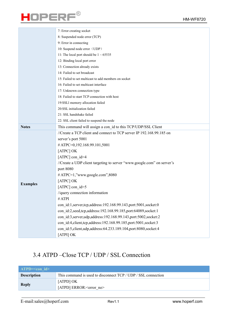

|                 | 7: Error creating socket                                               |  |  |
|-----------------|------------------------------------------------------------------------|--|--|
|                 | 8: Suspended node error (TCP)                                          |  |  |
|                 | 9: Error in connecting                                                 |  |  |
|                 | 10: Suspend node error (UDP)                                           |  |  |
|                 | 11: The local port should be $1 \sim 65535$                            |  |  |
|                 | 12: Binding local port error                                           |  |  |
|                 | 13: Connection already exists                                          |  |  |
|                 | 14: Failed to set broadcast                                            |  |  |
|                 | 15: Failed to set multicast to add members on socket                   |  |  |
|                 | 16: Failed to set multicast interface                                  |  |  |
|                 | 17: Unknown connection type                                            |  |  |
|                 | 18: Failed to start TCP connection with host                           |  |  |
|                 | 19:SSLl memory allocation failed                                       |  |  |
|                 | 20:SSL initialization failed                                           |  |  |
|                 | 21: SSL handshake failed                                               |  |  |
|                 | 22: SSL client failed to suspend the node                              |  |  |
| <b>Notes</b>    | This command will assign a con id to this TCP/UDP/SSL Client           |  |  |
|                 | //Create a TCP client and connect to TCP server IP 192.168.99.185 on   |  |  |
|                 | server's port 5001                                                     |  |  |
|                 | #ATPC=0,192.168.99.101,5001                                            |  |  |
|                 | [ATPC] OK                                                              |  |  |
|                 | [ATPC] con $id=4$                                                      |  |  |
|                 | //Create a UDP client targeting to server "www.google.com" on server's |  |  |
|                 | port 8080                                                              |  |  |
|                 | $#ATPC=1,"$ www.google.com",8080                                       |  |  |
| <b>Examples</b> | [ATPC] OK                                                              |  |  |
|                 | [ATPC] con_id=5                                                        |  |  |
|                 | //query connection information                                         |  |  |
|                 | #ATPI                                                                  |  |  |
|                 | con id:1,server,tcp,address:192.168.99.143,port:5001,socket:0          |  |  |
|                 | con_id:2,seed,tcp,address:192.168.99.185,port:64089,socket:1           |  |  |
|                 | con id:3,server,udp,address:192.168.99.143,port:5002,socket:2          |  |  |
|                 | con id:4, client, tcp, address: 192.168.99.185, port: 5001, socket: 3  |  |  |
|                 | con_id:5,client,udp,address:64.233.189.104,port:8080,socket:4          |  |  |
|                 | [ATPI] OK                                                              |  |  |

#### <span id="page-16-0"></span>3.4 ATPD –Close TCP / UDP / SSL Connection

| $ATPD= id>$        |                                                               |
|--------------------|---------------------------------------------------------------|
| <b>Description</b> | This command is used to disconnect TCP / UDP / SSL connection |
| <b>Reply</b>       | [ATPD] OK<br>[ATPD] ERROR: < error no>                        |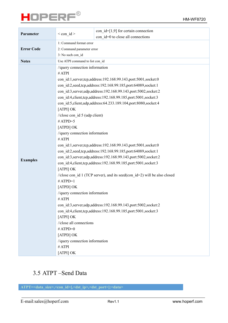

| Parameter         | $<$ con id $>$                                                                                                                                                                               | con_id= $[1,9]$ for certain connection                                |  |
|-------------------|----------------------------------------------------------------------------------------------------------------------------------------------------------------------------------------------|-----------------------------------------------------------------------|--|
|                   |                                                                                                                                                                                              | con id=0 to close all connections                                     |  |
|                   | 1: Command format error                                                                                                                                                                      |                                                                       |  |
| <b>Error Code</b> | 2: Command parameter error                                                                                                                                                                   |                                                                       |  |
|                   | 3: No such con id                                                                                                                                                                            |                                                                       |  |
| <b>Notes</b>      | Use ATPI command to list con_id                                                                                                                                                              |                                                                       |  |
|                   | //query connection information                                                                                                                                                               |                                                                       |  |
|                   | #ATPI<br>con id:1,server,tcp,address:192.168.99.143,port:5001,socket:0                                                                                                                       |                                                                       |  |
|                   |                                                                                                                                                                                              |                                                                       |  |
|                   |                                                                                                                                                                                              | con id:2,seed,tcp,address:192.168.99.185,port.64089,socket:1          |  |
|                   |                                                                                                                                                                                              | con_id:3,server,udp,address:192.168.99.143,port:5002,socket:2         |  |
|                   |                                                                                                                                                                                              | con id:4, client, tcp, address: 192.168.99.185, port: 5001, socket: 3 |  |
|                   |                                                                                                                                                                                              | con_id:5,client,udp,address:64.233.189.104,port:8080,socket:4         |  |
|                   | [ATPI] OK                                                                                                                                                                                    |                                                                       |  |
|                   | $\sqrt{\csc}$ con id 5 (udp client)                                                                                                                                                          |                                                                       |  |
|                   | $#ATPD=5$                                                                                                                                                                                    |                                                                       |  |
|                   | [ATPD] OK                                                                                                                                                                                    |                                                                       |  |
|                   | //query connection information                                                                                                                                                               |                                                                       |  |
|                   | # ATPI                                                                                                                                                                                       |                                                                       |  |
|                   |                                                                                                                                                                                              | con id:1,server,tcp,address:192.168.99.143,port:5001,socket:0         |  |
|                   | con_id:2,seed,tcp,address:192.168.99.185,port:64089,socket:1                                                                                                                                 |                                                                       |  |
| <b>Examples</b>   | con id:3,server,udp,address:192.168.99.143,port:5002,socket:2                                                                                                                                |                                                                       |  |
|                   | con_id:4,client,tcp,address:192.168.99.185,port:5001,socket:3                                                                                                                                |                                                                       |  |
|                   | [ATPI] OK                                                                                                                                                                                    |                                                                       |  |
|                   | //close con_id 1 (TCP server), and its seed(con_id=2) will be also closed                                                                                                                    |                                                                       |  |
|                   | $#ATPD=1$                                                                                                                                                                                    |                                                                       |  |
|                   | [ATPD] OK                                                                                                                                                                                    |                                                                       |  |
|                   | //query connection information                                                                                                                                                               |                                                                       |  |
|                   | #ATPI<br>con id:3,server,udp,address:192.168.99.143,port:5002,socket:2<br>con id:4,client,tcp,address:192.168.99.185,port:5001,socket:3<br>[ATPI] OK<br>//close all connections<br>$#ATPD=0$ |                                                                       |  |
|                   |                                                                                                                                                                                              |                                                                       |  |
|                   |                                                                                                                                                                                              |                                                                       |  |
|                   |                                                                                                                                                                                              |                                                                       |  |
|                   |                                                                                                                                                                                              |                                                                       |  |
|                   |                                                                                                                                                                                              |                                                                       |  |
|                   | [ATPD] OK                                                                                                                                                                                    |                                                                       |  |
|                   | //query connection information<br>#ATPI<br>[ATPI] OK                                                                                                                                         |                                                                       |  |
|                   |                                                                                                                                                                                              |                                                                       |  |
|                   |                                                                                                                                                                                              |                                                                       |  |

#### <span id="page-17-0"></span>3.5 ATPT –Send Data

**ATPT=<data\_size>,<con\_id>[,<dst\_ip>,<dst\_port>]:<data>**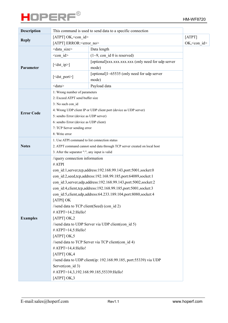# HOPERF®

| <b>Description</b> | This command is used to send data to a specific connection                |                                                                   |  |
|--------------------|---------------------------------------------------------------------------|-------------------------------------------------------------------|--|
|                    | [ATPT] OK, < $con$ id>                                                    |                                                                   |  |
| <b>Reply</b>       | [ATPT] ERROR: <error_no></error_no>                                       | $OK,  id>$                                                        |  |
| Parameter          | <data_size></data_size>                                                   | Data length                                                       |  |
|                    | $<$ con id $>$                                                            | $(1-9, \text{con} \text{id } 0 \text{ is reserved})$              |  |
|                    | $[<$ dst_ip>]                                                             | [optional]xxx.xxx.xxx.xxx (only need for udp server<br>mode)      |  |
|                    | [ <dst_port>]</dst_port>                                                  | [optional] $1 \sim 65535$ (only need for udp server<br>mode)      |  |
|                    | $<$ data $>$                                                              | Payload data                                                      |  |
|                    | 1: Wrong number of parameters                                             |                                                                   |  |
|                    | 2: Exceed ATPT send buffer size                                           |                                                                   |  |
|                    | 3: No such con id                                                         |                                                                   |  |
|                    |                                                                           | 4: Wrong UDP client IP or UDP client port (device as UDP server)  |  |
| <b>Error Code</b>  | 5: sendto Error (device as UDP server)                                    |                                                                   |  |
|                    | 6: sendto Error (device as UDP client)                                    |                                                                   |  |
|                    | 7: TCP Server sending error                                               |                                                                   |  |
|                    | 8: Write error                                                            |                                                                   |  |
|                    | 1. Use ATPI command to list connection status                             |                                                                   |  |
| <b>Notes</b>       | 2. ATPT command cannot send data through TCP server created on local host |                                                                   |  |
|                    | 3. After the separator ":", any input is valid                            |                                                                   |  |
|                    | //query connection information                                            |                                                                   |  |
|                    | #ATPI                                                                     |                                                                   |  |
|                    | con_id:1,server,tcp,address:192.168.99.143,port:5001,socket:0             |                                                                   |  |
|                    | con id:2,seed,tcp,address:192.168.99.185,port.64089,socket:1              |                                                                   |  |
|                    | con id:3,server,udp,address:192.168.99.143,port:5002,socket:2             |                                                                   |  |
|                    | con_id:4,client,tcp,address:192.168.99.185,port:5001,socket:3             |                                                                   |  |
|                    | con id:5, client, udp, address: 64.233.189.104, port: 8080, socket: 4     |                                                                   |  |
|                    | [ATPI] OK                                                                 |                                                                   |  |
|                    | //send data to TCP client(Seed) (con id 2)                                |                                                                   |  |
|                    | $#ATPT=14,2$ : Hello!                                                     |                                                                   |  |
| <b>Examples</b>    | $[ATPT]$ OK, $2$                                                          |                                                                   |  |
|                    | //send data to UDP Server via UDP client(con id 5)                        |                                                                   |  |
|                    | $#ATPT=14,5$ : Hello!                                                     |                                                                   |  |
|                    | [ATPT] OK, 5                                                              |                                                                   |  |
|                    | //send data to TCP Server via TCP client(con_id 4)                        |                                                                   |  |
|                    | $#ATPT=14,4$ : Hello!                                                     |                                                                   |  |
|                    | [ATPT] OK, 4                                                              |                                                                   |  |
|                    |                                                                           | //send data to UDP client(ip: 192.168.99.185, port:55339) via UDP |  |
|                    | Server(con id 3)                                                          |                                                                   |  |
|                    |                                                                           | #ATPT=14,3,192.168.99.185,55339: Hello!                           |  |
|                    | [ATPT] $OK, 3$                                                            |                                                                   |  |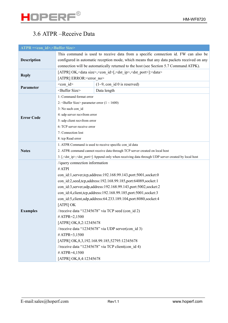#### <span id="page-19-0"></span>3.6 ATPR –Receive Data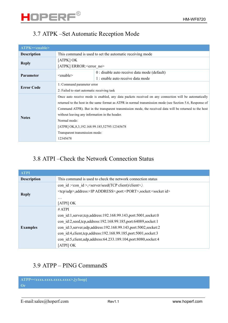#### <span id="page-20-0"></span>3.7 ATPK –Set Automatic Reception Mode

| ATPK= <enable></enable> |                                                                                                           |                                                                                                      |  |
|-------------------------|-----------------------------------------------------------------------------------------------------------|------------------------------------------------------------------------------------------------------|--|
| <b>Description</b>      | This command is used to set the automatic receiving mode                                                  |                                                                                                      |  |
|                         | [ATPK] OK<br><b>Reply</b><br>[ATPK] ERROR: < error no>                                                    |                                                                                                      |  |
|                         |                                                                                                           |                                                                                                      |  |
| <b>Parameter</b>        | $\leq$ enable $\geq$                                                                                      | 0 : disable auto receive data mode (default)                                                         |  |
|                         |                                                                                                           | 1 : enable auto receive data mode                                                                    |  |
| <b>Error Code</b>       | 1: Command parameter error                                                                                |                                                                                                      |  |
|                         | 2: Failed to start automatic receiving task                                                               |                                                                                                      |  |
|                         |                                                                                                           | Once auto receive mode is enabled, any data packets received on any connection will be automatically |  |
|                         | returned to the host in the same format as ATPR in normal transmission mode (see Section 5.6, Response of |                                                                                                      |  |
|                         | Command ATPR). But in the transparent transmission mode, the received data will be returned to the host   |                                                                                                      |  |
| <b>Notes</b>            | without leaving any information in the header.                                                            |                                                                                                      |  |
|                         | Normal mode:                                                                                              |                                                                                                      |  |
|                         | [ATPR] OK, 8, 3, 192. 168. 99. 185, 52795: 12345678                                                       |                                                                                                      |  |
|                         | Transparent transmission mode:                                                                            |                                                                                                      |  |
|                         | 12345678                                                                                                  |                                                                                                      |  |

#### <span id="page-20-1"></span>3.8 ATPI –Check the Network Connection Status

| <b>ATPI</b>        |                                                                                                   |  |  |
|--------------------|---------------------------------------------------------------------------------------------------|--|--|
| <b>Description</b> | This command is used to check the network connection status                                       |  |  |
|                    | con id :< con id >, < server/seed(TCP client)/client>,\                                           |  |  |
| <b>Reply</b>       | <tcp udp="">,address:<ip address="">,port:<port>,socket:<socket id=""></socket></port></ip></tcp> |  |  |
|                    | .<br>[ATPI] OK                                                                                    |  |  |
|                    | $#$ ATPI                                                                                          |  |  |
| <b>Examples</b>    | con id:1,server,tcp,address:192.168.99.143,port:5001,socket:0                                     |  |  |
|                    | con id:2,seed,tcp,address:192.168.99.185,port:64089,socket:1                                      |  |  |
|                    | con id:3,server,udp,address:192.168.99.143,port:5002,socket:2                                     |  |  |
|                    | con id:4, client, tcp, address: 192.168.99.185, port: 5001, socket: 3                             |  |  |
|                    | con id:5,client,udp,address:64.233.189.104,port:8080,socket:4                                     |  |  |
|                    | [ATPI] OK                                                                                         |  |  |

#### <span id="page-20-2"></span>3.9 ATPP – PING CommandS

**ATPP=<xxxx.xxxx.xxxx.xxxx>,[y/loop] Or**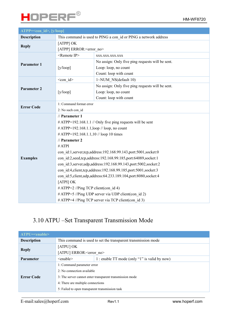

| $ATPP=$ , [y/loop] |                                                                 |                                                  |  |
|--------------------|-----------------------------------------------------------------|--------------------------------------------------|--|
| <b>Description</b> | This command is used to PING a con id or PING a network address |                                                  |  |
| <b>Reply</b>       | [ATPP] OK                                                       |                                                  |  |
|                    | [ATPP] ERROR: <error no=""></error>                             |                                                  |  |
|                    | <remote ip=""></remote>                                         | XXX.XXX.XXX.XXX                                  |  |
| Parameter 1        |                                                                 | No assign: Only five ping requests will be sent. |  |
|                    | [y/loop]                                                        | Loop: loop, no count                             |  |
|                    |                                                                 | Count: loop with count                           |  |
|                    | $<$ con id $>$                                                  | $1-NUM$ NS(default 10)                           |  |
| Parameter 2        |                                                                 | No assign: Only five ping requests will be sent. |  |
|                    | [y/loop]                                                        | Loop: loop, no count                             |  |
|                    |                                                                 | Count: loop with count                           |  |
| <b>Error Code</b>  | 1: Command format error                                         |                                                  |  |
|                    | 2: No such con id                                               |                                                  |  |
|                    | $//$ Parameter 1                                                |                                                  |  |
|                    | #ATPP=192.168.1.1 // Only five ping requests will be sent       |                                                  |  |
|                    | # ATPP=192.168.1.1, loop // loop, no count                      |                                                  |  |
|                    | #ATPP=192.168.1.1,10 // loop 10 times                           |                                                  |  |
|                    | $\mathcal{U}$ Parameter 2                                       |                                                  |  |
|                    | #ATPI                                                           |                                                  |  |
|                    | con id:1,server,tcp,address:192.168.99.143,port:5001,socket:0   |                                                  |  |
| <b>Examples</b>    | con id:2,seed,tcp,address:192.168.99.185,port:64089,socket:1    |                                                  |  |
|                    | con id:3,server,udp,address:192.168.99.143,port:5002,socket:2   |                                                  |  |
|                    | con id:4,client,tcp,address:192.168.99.185,port:5001,socket:3   |                                                  |  |
|                    | con id:5,client,udp,address:64.233.189.104,port:8080,socket:4   |                                                  |  |
|                    | [ATPI] OK                                                       |                                                  |  |
|                    | # ATPP= $2$ //Ping TCP client(con id 4)                         |                                                  |  |
|                    | # ATPP=5 //Ping UDP server via UDP client(con id 2)             |                                                  |  |
|                    | # ATPP=4 //Ping TCP server via TCP client(con id 3)             |                                                  |  |

#### <span id="page-21-0"></span>3.10 ATPU –Set Transparent Transmission Mode

| ATPU= <enable></enable> |                                                                                                                                                                                                              |                                               |
|-------------------------|--------------------------------------------------------------------------------------------------------------------------------------------------------------------------------------------------------------|-----------------------------------------------|
| <b>Description</b>      | This command is used to set the transparent transmission mode                                                                                                                                                |                                               |
| <b>Reply</b>            | [ATPU] OK<br>[ATPU] ERROR: < error no>                                                                                                                                                                       |                                               |
| <b>Parameter</b>        | $\leq$ enable $\geq$                                                                                                                                                                                         | 1 : enable TT mode (only "1" is valid by now) |
| <b>Error Code</b>       | 1: Command parameter error<br>2: No connection available<br>3: The server cannot enter transparent transmission mode<br>4: There are multiple connections<br>5: Failed to open transparent transmission task |                                               |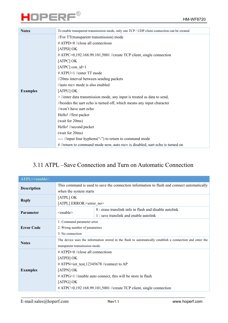## HOPERF®

| <b>Notes</b>    | To enable transparent transmission mode, only one TCP / UDP client connection can be created |
|-----------------|----------------------------------------------------------------------------------------------|
|                 | //For TT(transparent transmission) mode                                                      |
|                 | # ATPD=0 //close all connectiosn                                                             |
|                 | [ATPD] OK                                                                                    |
|                 | $\#ATPC=0,192.168.99.101,5001$ //create TCP client, single connection                        |
|                 | $[ATPC]$ OK                                                                                  |
|                 | [ATPC] con_id=1                                                                              |
|                 | #ATPU=1 //enter TT mode                                                                      |
|                 | //20ms interval between sending packets                                                      |
|                 | //auto recv mode is also enabled                                                             |
| <b>Examples</b> | [ATPU] OK                                                                                    |
|                 | $\ge$ //enter data transmission mode, any input is treated as data to send,                  |
|                 | //besides the uart echo is turned off, which means any input character                       |
|                 | //won't have uart echo                                                                       |
|                 | Hello! //first packet                                                                        |
|                 | (wait for 20ms)                                                                              |
|                 | Hello! //second packet                                                                       |
|                 | (wait for 20ms)                                                                              |
|                 | ---- //input four hyphens("-") to return to command mode                                     |
|                 | #//return to command mode now, auto recv is disabled, uart echo is turned on                 |

#### <span id="page-22-0"></span>3.11 ATPL –Save Connection and Turn on Automatic Connection

| ATPL= <enable></enable> |                                                                                                           |                                                               |  |  |
|-------------------------|-----------------------------------------------------------------------------------------------------------|---------------------------------------------------------------|--|--|
| <b>Description</b>      | This command is used to save the connection information to flash and connect automatically                |                                                               |  |  |
|                         | when the system starts                                                                                    |                                                               |  |  |
|                         | [ATPL] OK                                                                                                 |                                                               |  |  |
| <b>Reply</b>            | [ATPL] ERROR: < error no>                                                                                 |                                                               |  |  |
| Parameter               |                                                                                                           | 0 : erase translink info in flash and disable autolink        |  |  |
|                         | <enable></enable>                                                                                         | 1 : save translink and enable autolink                        |  |  |
|                         | 1: Command parameter error                                                                                |                                                               |  |  |
| <b>Error Code</b>       | 2: Wrong number of parameters                                                                             |                                                               |  |  |
|                         | 3: No connection                                                                                          |                                                               |  |  |
|                         | The device uses the information stored in the flash to automatically establish a connection and enter the |                                                               |  |  |
| <b>Notes</b>            | transparent transmission mode.                                                                            |                                                               |  |  |
|                         | $#ATPD=0$ //close all connectiosn                                                                         |                                                               |  |  |
|                         | [ATPD] OK                                                                                                 |                                                               |  |  |
|                         | # ATPN=iot_test,12345678 //connect to AP                                                                  |                                                               |  |  |
| <b>Examples</b>         | [ATPN] OK                                                                                                 |                                                               |  |  |
|                         |                                                                                                           | $\#ATPG=1$ //enable auto connect, this will be store in flash |  |  |
|                         | [ATPG] OK                                                                                                 |                                                               |  |  |
|                         | $\#ATPC=0,192.168.99.101,5001$ //create TCP client, single connection                                     |                                                               |  |  |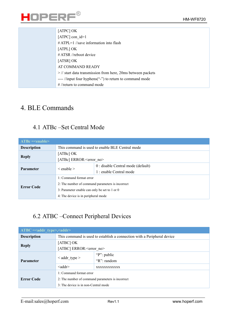

| [ATPC] OK                                                      |
|----------------------------------------------------------------|
| [ATPC] con $id=1$                                              |
| $\#$ ATPL = 1 //save information into flash                    |
| [ATPL] OK                                                      |
| $#ATSR$ //reboot device                                        |
| [ATSR] OK                                                      |
| AT COMMAND READY                                               |
| $>$ // start data transmission from here, 20ms between packets |
| ---- //input four hyphens("-") to return to command mode       |
| $\#$ //return to command mode                                  |

#### <span id="page-23-0"></span>4. BLE Commands

#### <span id="page-23-1"></span>4.1 ATBc –Set Central Mode

| $ATBc = \text{small}$ |                                                  |                                    |
|-----------------------|--------------------------------------------------|------------------------------------|
| <b>Description</b>    | This command is used to enable BLE Central mode  |                                    |
|                       | [ATBc] OK                                        |                                    |
| <b>Reply</b>          | [ATBc] ERROR: < error no>                        |                                    |
| <b>Parameter</b>      | $\le$ enable $>$                                 | 0 : disable Central mode (default) |
|                       |                                                  | 1 : enable Central mode            |
|                       | 1: Command format error                          |                                    |
| <b>Error Code</b>     | 2: The number of command parameters is incorrect |                                    |
|                       | 3: Parameter enable can only be set to 1 or 0    |                                    |
|                       | 4: The device is in peripheral mode              |                                    |

#### <span id="page-23-2"></span>6.2 ATBC –Connect Peripheral Devices

| $ATBC = addr type > addr >$ |                                                                         |                            |
|-----------------------------|-------------------------------------------------------------------------|----------------------------|
| <b>Description</b>          | This command is used to establish a connection with a Peripheral device |                            |
| <b>Reply</b>                | [ATBC] OK<br>[ATBC] ERROR: < error no>                                  |                            |
| <b>Parameter</b>            | $\leq$ addr type $>$                                                    | "P": public<br>"R": random |
|                             | $\leq$ addr $\geq$                                                      | XXXXXXXXXXX                |
| <b>Error Code</b>           | 1: Command format error                                                 |                            |
|                             | 2: The number of command parameters is incorrect                        |                            |
|                             | 3: The device is in non-Central mode                                    |                            |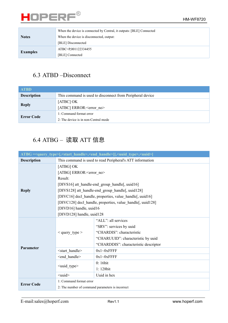

| <b>Notes</b>    | When the device is connected by Central, it outputs: [BLE] Connected<br>When the device is disconnected, output: |  |  |
|-----------------|------------------------------------------------------------------------------------------------------------------|--|--|
|                 | [BLE] Disconnected                                                                                               |  |  |
| <b>Examples</b> | ATBC=P,001122334455                                                                                              |  |  |
|                 | [BLE] Connected                                                                                                  |  |  |

#### <span id="page-24-0"></span>6.3 ATBD –Disconnect

| <b>ATBD</b>        |                                                           |
|--------------------|-----------------------------------------------------------|
| <b>Description</b> | This command is used to disconnect from Peripheral device |
| <b>Reply</b>       | [ATBC] OK                                                 |
|                    | [ATBC] ERROR: < error no>                                 |
| <b>Error Code</b>  | 1: Command format error                                   |
|                    | 2: The device is in non-Central mode                      |

#### <span id="page-24-1"></span>6.4 ATBG – 读取 ATT 信息

| ATBG = <query_type>[,<start_handle>,<end_handle>][,<uuid_type>,<uuid>]</uuid></uuid_type></end_handle></start_handle></query_type> |                                                           |                                                            |  |
|------------------------------------------------------------------------------------------------------------------------------------|-----------------------------------------------------------|------------------------------------------------------------|--|
| <b>Description</b>                                                                                                                 | This command is used to read Peripheral's ATT information |                                                            |  |
|                                                                                                                                    | [ATBG] OK                                                 |                                                            |  |
| <b>Reply</b>                                                                                                                       | [ATBG] ERROR: <error_no></error_no>                       |                                                            |  |
|                                                                                                                                    | Result:                                                   |                                                            |  |
|                                                                                                                                    |                                                           | [DIVS16] att_handle-end_group_handle[, uuid16]             |  |
|                                                                                                                                    |                                                           | [DIVS128] att_handle-end_group_handle[, uuid128]           |  |
|                                                                                                                                    |                                                           | [DIVC16] decl_handle, properties, value_handle[, uuid16]   |  |
|                                                                                                                                    |                                                           | [DIVC128] decl handle, properties, value handle[, uuid128] |  |
|                                                                                                                                    | [DIVD16] handle, uuid16                                   |                                                            |  |
|                                                                                                                                    | [DIVD128] handle, uuid128                                 |                                                            |  |
|                                                                                                                                    |                                                           | "ALL": all services                                        |  |
|                                                                                                                                    |                                                           | "SRV": services by uuid                                    |  |
|                                                                                                                                    | $\leq$ query type $>$                                     | "CHARDIS": characteristic                                  |  |
|                                                                                                                                    |                                                           | "CHARUUID": characteristic by uuid                         |  |
|                                                                                                                                    |                                                           | "CHARDDIS": characteristic descriptor                      |  |
| <b>Parameter</b>                                                                                                                   | <start handle=""></start>                                 | $0x1 - 0x$ FFFF                                            |  |
|                                                                                                                                    | <end handle=""></end>                                     | $0x1 - 0x$ FFFF                                            |  |
|                                                                                                                                    | <uuid_type></uuid_type>                                   | 0:16bit                                                    |  |
|                                                                                                                                    |                                                           | 1:128bit                                                   |  |
|                                                                                                                                    | $\le$ uuid $>$                                            | Uuid in hex                                                |  |
|                                                                                                                                    | 1: Command format error                                   |                                                            |  |
| <b>Error Code</b>                                                                                                                  | 2: The number of command parameters is incorrect          |                                                            |  |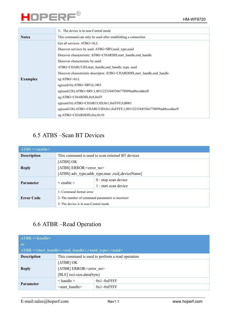# HOPERF®

|                                  | 3. The device is in non-Central mode                                        |  |
|----------------------------------|-----------------------------------------------------------------------------|--|
| <b>Notes</b>                     | This command can only be used after establishing a connection               |  |
|                                  | Get all services: ATBG=ALL                                                  |  |
|                                  | Discover services by uuid: ATBG=SRV, uuid type, uuid                        |  |
|                                  | Discover characteristic: ATBG=CHARDIS, start handle, end handle             |  |
| Discover characteristic by uuid: |                                                                             |  |
|                                  | ATBG=CHARUUID, start handle, end handle, type, uuid                         |  |
|                                  | Discover characteristic descriptor: ATBG=CHARDDIS, start handle, end handle |  |
| <b>Examples</b>                  | $eg:ATBG=ALL$                                                               |  |
|                                  | eg(uuid16): $ATBG=SRV,0,1803$                                               |  |
|                                  | eg(uuid128):ATBG=SRV,1,00112233445566778899aabbccddeeff                     |  |
|                                  | eg:ATBG=CHARDIS,0x8,0xFF                                                    |  |
|                                  | eg(uuid16): $ATBG=CHARUUID, 0x1, 0xFFFF, 0, B001$                           |  |
|                                  | eg(uuid128):ATBG=CHARUUID.0x1.0xFFFF.1.00112233445566778899aabbccddeeff     |  |
|                                  | $eg:ATBG=CHARDDIS,0xe,0x10$                                                 |  |
|                                  |                                                                             |  |

#### <span id="page-25-0"></span>6.5 ATBS –Scan BT Devices

| $ATBS = enable$    |                                                      |                       |
|--------------------|------------------------------------------------------|-----------------------|
| <b>Description</b> | This command is used to scan external BT devices     |                       |
|                    | [ATBS] OK                                            |                       |
| <b>Reply</b>       | [ATBS] ERROR: < error no>                            |                       |
|                    | [ATBS] adv type, addr type, mac , rssil, deviceName] |                       |
|                    | $\leq$ enable $\geq$                                 | $0:$ stop scan device |
| <b>Parameter</b>   |                                                      | 1 : start scan device |
|                    | 1: Command format error                              |                       |
| <b>Error Code</b>  | 2: The number of command parameters is incorrect     |                       |
|                    | 3: The device is in non-Central mode                 |                       |

#### <span id="page-25-1"></span>6.6 ATBR –Read Operation

| $ATBR = <$ handle> |                                                                  |                 |  |
|--------------------|------------------------------------------------------------------|-----------------|--|
| or                 |                                                                  |                 |  |
|                    | ATBR = < start handle >, < end handle >, < uuid type >, < uuid > |                 |  |
| <b>Description</b> | This command is used to perform a read operation                 |                 |  |
| <b>Reply</b>       | [ATBR] OK                                                        |                 |  |
|                    | [ATBR] ERROR: < error no>                                        |                 |  |
|                    | [BLE] reci:size, data(byte)                                      |                 |  |
| <b>Parameter</b>   | $\langle$ handle $\rangle$                                       | $0x1 - 0x$ FFFF |  |
|                    | <start handle=""></start>                                        | $0x1 - 0x$ FFFF |  |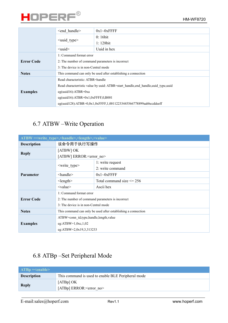

|                   | <end handle=""></end>                                                              | $0x1 \sim 0x$ FFFF |  |
|-------------------|------------------------------------------------------------------------------------|--------------------|--|
|                   |                                                                                    | 0:16bit            |  |
|                   | <uuid type=""></uuid>                                                              | 1:128bit           |  |
|                   | $\le$ uuid $\ge$                                                                   | Uuid in hex        |  |
|                   | 1: Command format error                                                            |                    |  |
| <b>Error Code</b> | 2: The number of command parameters is incorrect                                   |                    |  |
|                   | 3: The device is in non-Central mode                                               |                    |  |
| <b>Notes</b>      | This command can only be used after establishing a connection                      |                    |  |
|                   | Read characteristic: ATBR=handle                                                   |                    |  |
|                   | Read characterristic value by uuid: ATBR=start handle, end handle, uuid type, uuid |                    |  |
| <b>Examples</b>   | $eg(uuid16)$ : ATBR=0xa                                                            |                    |  |
|                   | eg(uuid16): $ATBR = 0x1,0xFFFF,0,B001$                                             |                    |  |
|                   | eg(uuid128):ATBR=0,0x1,0xFFFF,1,00112233445566778899aabbccddeeff                   |                    |  |

#### <span id="page-26-0"></span>6.7 ATBW –Write Operation

| ATBW = <write type="">,<handle>,<length>,<value></value></length></handle></write> |                                                               |                               |
|------------------------------------------------------------------------------------|---------------------------------------------------------------|-------------------------------|
| <b>Description</b>                                                                 | 该命令用于执行写操作                                                    |                               |
|                                                                                    | [ATBW] OK                                                     |                               |
| <b>Reply</b>                                                                       | [ATBW] ERROR: < error no>                                     |                               |
|                                                                                    |                                                               | 1: write request              |
|                                                                                    | <write_type></write_type>                                     | 2: write command              |
| <b>Parameter</b>                                                                   | $\le$ handle $\ge$                                            | $0x1 - 0x$ FFFF               |
|                                                                                    | $<$ length $>$                                                | Total command size $\leq$ 256 |
|                                                                                    | $<$ value $>$                                                 | Ascii hex                     |
|                                                                                    | 1: Command format error                                       |                               |
| <b>Error Code</b>                                                                  | 2: The number of command parameters is incorrect              |                               |
|                                                                                    | 3: The device is in non-Central mode                          |                               |
| <b>Notes</b>                                                                       | This command can only be used after establishing a connection |                               |
|                                                                                    | ATBW=conn id, type, handle, length, value                     |                               |
| <b>Examples</b>                                                                    | eg: $ATBW=1,0xc,1,02$                                         |                               |
|                                                                                    | eg:ATBW=2,0x19,3,313233                                       |                               |

#### <span id="page-26-1"></span>6.8 ATBp –Set Peripheral Mode

| $ATBp = enable$    |                                                    |
|--------------------|----------------------------------------------------|
| <b>Description</b> | This command is used to enable BLE Peripheral mode |
| <b>Reply</b>       | [ATBp] OK<br>[ATBp] ERROR: $\epsilon$ error no     |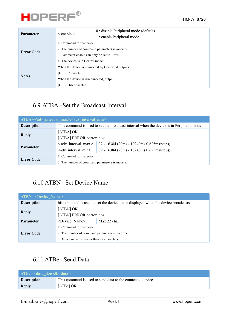

| <b>Parameter</b>  | $\le$ enable $>$                                     | 0 : disable Peripheral mode (default)<br>1 : enable Peripheral mode |
|-------------------|------------------------------------------------------|---------------------------------------------------------------------|
| <b>Error Code</b> | 1: Command format error                              |                                                                     |
|                   | 2: The number of command parameters is incorrect     |                                                                     |
|                   | 3: Parameter enable can only be set to 1 or 0        |                                                                     |
|                   | 4: The device is in Central mode                     |                                                                     |
| <b>Notes</b>      | When the device is connected by Central, it outputs: |                                                                     |
|                   | [BLE] Connected                                      |                                                                     |
|                   | When the device is disconnected, output:             |                                                                     |
|                   | [BLE] Disconnected                                   |                                                                     |

#### <span id="page-27-0"></span>6.9 ATBA –Set the Broadcast Interval

|                    | $ATBA = adv interval max > adv interval min >$                                           |                                                                     |
|--------------------|------------------------------------------------------------------------------------------|---------------------------------------------------------------------|
| <b>Description</b> | This command is used to set the broadcast interval when the device is in Peripheral mode |                                                                     |
|                    | [ATBA] OK                                                                                |                                                                     |
| <b>Reply</b>       | [ATBA] ERROR: < error no>                                                                |                                                                     |
| <b>Parameter</b>   | $\leq$ adv_interval_max $>$                                                              | $32 - 16384 (20 \text{ms} - 10240 \text{ms} 0.625 \text{ms/step}))$ |
|                    | <adv interval="" min=""></adv>                                                           | $32 - 16384 (20 \text{ms} - 10240 \text{ms} 0.625 \text{ms/step}))$ |
|                    | 1: Command format error                                                                  |                                                                     |
| <b>Error Code</b>  | 2: The number of command parameters is incorrect                                         |                                                                     |

#### <span id="page-27-1"></span>6.10 ATBN –Set Device Name

| $ATBN = Device Name$ |                                                  |                                                                                 |  |
|----------------------|--------------------------------------------------|---------------------------------------------------------------------------------|--|
| <b>Description</b>   |                                                  | his command is used to set the device name displayed when the device broadcasts |  |
|                      | [ATBN] OK                                        |                                                                                 |  |
| <b>Reply</b>         |                                                  | [ATBN] ERROR: < error no>                                                       |  |
| <b>Parameter</b>     | <device name=""></device>                        | Max 22 char                                                                     |  |
|                      | 1: Command format error                          |                                                                                 |  |
| <b>Error Code</b>    | 2: The number of command parameters is incorrect |                                                                                 |  |
|                      | 3: Device name is greater than 22 characters     |                                                                                 |  |

#### <span id="page-27-2"></span>6.11 ATBe –Send Data

| $ATBe = <$ data size>,0: $<$ data> |                                                           |
|------------------------------------|-----------------------------------------------------------|
| <b>Description</b>                 | This command is used to send data to the connected device |
| <b>Reply</b>                       | [ATBe] OK                                                 |